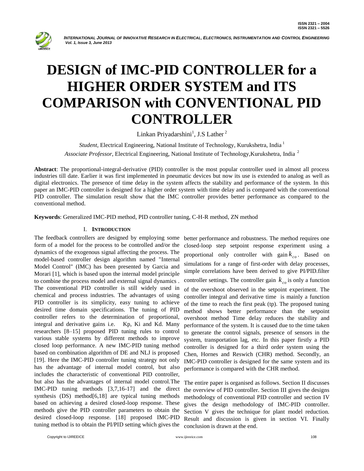

# **DESIGN of IMC-PID CONTROLLER for a HIGHER ORDER SYSTEM and ITS COMPARISON with CONVENTIONAL PID CONTROLLER**

Linkan Priyadarshini<sup>1</sup>, J.S Lather<sup>2</sup>

*Student*, Electrical Engineering, National Institute of Technology, Kurukshetra, India<sup>1</sup> *Associate Professor*, Electrical Engineering, National Institute of Technology,Kurukshetra, India <sup>2</sup>

**Abstract**: The proportional-integral-derivative (PID) controller is the most popular controller used in almost all process industries till date. Earlier it was first implemented in pneumatic devices but now its use is extended to analog as well as digital electronics. The presence of time delay in the system affects the stability and performance of the system. In this paper an IMC-PID controller is designed for a higher order system with time delay and is compared with the conventional PID controller. The simulation result show that the IMC controller provides better performance as compared to the conventional method.

**Keywords**: Generalized IMC-PID method, PID controller tuning, C-H-R method, ZN method

## I. **INTRODUCTION**

The feedback controllers are designed by employing some form of a model for the process to be controlled and/or the dynamics of the exogenous signal affecting the process. The model-based controller design algorithm named "Internal Model Control" (IMC) has been presented by Garcia and Morari [1], which is based upon the internal model principle to combine the process model and external signal dynamics . The conventional PID controller is still widely used in chemical and process industries. The advantages of using PID controller is its simplicity, easy tuning to achieve desired time domain specifications. The tuning of PID controller refers to the determination of proportional, integral and derivative gains i.e. Kp, Ki and Kd. Many researchers [8–15] proposed PID tuning rules to control various stable systems by different methods to improve closed loop performance. A new IMC-PID tuning method based on combination algorithm of DE and NLJ is proposed [19]. Here the IMC-PID controller tuning strategy not only has the advantage of internal model control, but also includes the characteristic of conventional PID controller, but also has the advantages of internal model control.The IMC-PID tuning methods [3,7,16-17] and the direct synthesis (DS) method[6,18] are typical tuning methods based on achieving a desired closed-loop response. These methods give the PID controller parameters to obtain the desired closed-loop response. [18] proposed IMC-PID tuning method is to obtain the PI/PID setting which gives the

better performance and robustness. The method requires one closed-loop step setpoint response experiment using a proportional only controller with  $\text{gain } k_{co}$ . Based on simulations for a range of first-order with delay processes, simple correlations have been derived to give PI/PID.filter controller settings. The controller gain  $k_{co}$  is only a function of the overshoot observed in the setpoint experiment. The controller integral and derivative time is mainly a function of the time to reach the first peak (tp). The proposed tuning method shows better performance than the setpoint overshoot method Time delay reduces the stability and performance of the system. It is caused due to the time taken to generate the control signals, presence of sensors in the system, transportation lag, etc. In this paper firstly a PID controller is designed for a third order system using the Chen, Hornes and Reswich (CHR) method. Secondly, an IMC-PID controller is designed for the same system and its performance is compared with the CHR method.

The entire paper is organised as follows. Section II discusses the overview of PID controller. Section III gives the designs methodology of conventional PID controller and section IV gives the design methodology of IMC-PID controller. Section V gives the technique for plant model reduction. Result and discussion is given in section VI. Finally conclusion is drawn at the end.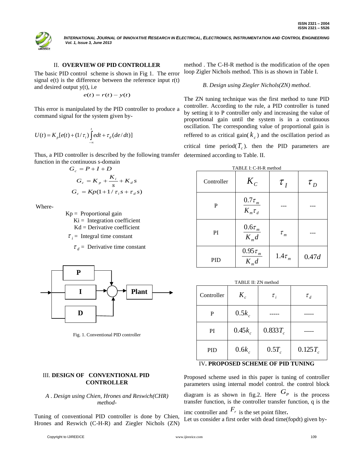

## II. **OVERVIEW OF PID CONTROLLER**

The basic PID control scheme is shown in Fig 1. The error signal  $e(t)$  is the difference between the reference input  $r(t)$ and desired output y(t), i.e

$$
e(t) = r(t) - y(t)
$$

This error is manipulated by the PID controller to produce a command signal for the system given by-

$$
U(t) = K_p[e(t) + (1/\tau_i)\int_{-\infty}^{t} edt + \tau_d(de/dt)]
$$

Thus, a PID controller is described by the following transfer determined according to Table. II. function in the continuous s-domain

$$
G_c = P + I + D
$$
  
\n
$$
G_c = K_p + \frac{K_i}{s} + K_d s
$$
  
\n
$$
G_c = Kp(1 + 1/\tau_i s + \tau_d s)
$$

Where-

 $Kp =$  Proportional gain  $Ki = Integration coefficient$  $Kd = Derivative coefficient$ 

 $\tau_i$  = Integral time constant

$$
\tau_d = \text{Derivative time constant}
$$



Fig. 1. Conventional PID controller

III. **DESIGN OF CONVENTIONAL PID CONTROLLER**

## *A* . *Design using Chien, Hrones and Reswich(CHR) method-*

Tuning of conventional PID controller is done by Chien, Hrones and Reswich (C-H-R) and Ziegler Nichols (ZN)

method . The C-H-R method is the modification of the open loop Zigler Nichols method. This is as shown in Table I.

## *B*. *Design using Ziegler Nichols(ZN) method*.

The ZN tuning technique was the first method to tune PID controller. According to the rule, a PID controller is tuned by setting it to P controller only and increasing the value of proportional gain until the system is in a continuous oscillation. The corresponding value of proportional gain is reffered to as critical gain( $k_c$ ) and the oscillation period as critical time  $period(T_c)$ , then the PID parameters are

| TABLE I: C-H-R method |                                    |             |            |  |  |  |
|-----------------------|------------------------------------|-------------|------------|--|--|--|
| Controller            | $K_c$<br>$\tau_{I}$                |             | $\tau_{D}$ |  |  |  |
| P                     | $\frac{0.7\tau_m}{K_m \tau_d}$     |             |            |  |  |  |
| PI                    | $0.6\tau_m$<br>$\overline{K_{m}d}$ | $\tau_{m}$  |            |  |  |  |
| <b>PID</b>            | $\frac{0.95\tau_m}{K_m d}$         | $1.4\tau_m$ | 0.47d      |  |  |  |

| TABLE II: ZN method |           |            |            |  |  |
|---------------------|-----------|------------|------------|--|--|
| Controller          | $K_{c}$   | $\tau$ ,   | $\tau_{d}$ |  |  |
| P                   | $0.5k_c$  |            |            |  |  |
| PI                  | $0.45k_c$ | $0.833T_c$ |            |  |  |
| <b>PID</b>          | $0.6k_c$  | $0.5T_c$   | $0.125T_c$ |  |  |

## IV**. PROPOSED SCHEME OF PID TUNING**

Proposed scheme used in this paper is tuning of controller parameters using internal model control. the control block diagram is as shown in fig.2. Here  $G_p$  is the process transfer function, is the controller transfer function, q is the imc controller and  $\overline{F}_r$  is the set point filter. Let us consider a first order with dead time(fopdt) given by**-**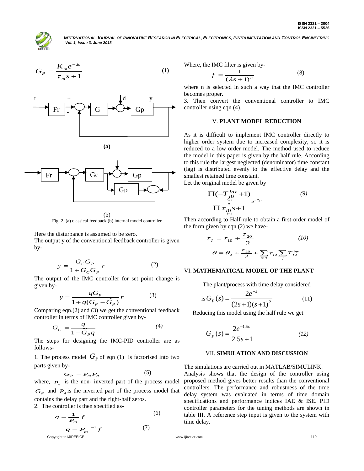

$$
G_P = \frac{K_m e^{-ds}}{\tau_m s + 1} \tag{1}
$$





(b) Fig. 2. (a) classical feedback (b) internal model controller

Here the disturbance is assumed to be zero. The output y of the conventional feedback controller is given by-

$$
y = \frac{G_C G_P}{1 + G_C G_P} r \tag{2}
$$

The output of the IMC controller for set point change is given by-

$$
y = \frac{qG_p}{1 + q(G_p - \tilde{G}_p)}r
$$
 (3)

Comparing eqn.(2) and (3) we get the conventional feedback controller in terms of IMC controller given by-

$$
G_C = \frac{q}{1 - \tilde{G}_P q} \tag{4}
$$

The steps for designing the IMC-PID controller are as follows-

1. The process model  $G_p$  of eqn (1) is factorised into two parts given by-

$$
G_P = P_m P_A \tag{5}
$$

where,  $P_m$  is the non- inverted part of the process model  $G_P$  and  $P_A$  is the inverted part of the process model that contains the delay part and the right-half zeros.

2. The controller is then specified as-

$$
q = \frac{1}{P_m} f \tag{6}
$$

$$
q = P_m^{-1} f
$$
 (7)  
Copyright to *UIREEICE* (7)

Where, the IMC filter is given by-

$$
f = \frac{1}{\left(\lambda s + 1\right)^n} \tag{8}
$$

where n is selected in such a way that the IMC controller becomes proper.

3. Then convert the conventional controller to IMC controller using eqn (4).

## V. **PLANT MODEL REDUCTION**

As it is difficult to implement IMC controller directly to higher order system due to increased complexity, so it is reduced to a low order model. The method used to reduce the model in this paper is given by the half rule. According to this rule the largest neglected (denominator) time constant (lag) is distributed evenly to the effective delay and the smallest retained time constant.

Let the original model be given by

$$
\frac{\prod(-T_{j0}^{m}+1)}{\prod \tau_{j0}^{n}+1}e^{-\theta_{0}s}
$$
\n(9)

Then according to Half-rule to obtain a first-order model of the form given by eqn (2) we have-

$$
\tau_{I} = \tau_{10} + \frac{\tau_{20}}{2}
$$
 (10)  

$$
\theta = \theta_{0} + \frac{\tau_{20}}{2} + \sum_{i \ge 3} \tau_{i0} \sum_{j} T_{j0}^{inv}
$$

#### VI. **MATHEMATICAL MODEL OF THE PLANT**

The plant/process with time delay considered

is 
$$
G_P(s) = \frac{2e^{-s}}{(2s+1)(s+1)^2}
$$
 (11)

Reducing this model using the half rule we get

$$
G_P(s) = \frac{2e^{-1.5s}}{2.5s + 1}
$$
 (12)

# VII. **SIMULATION AND DISCUSSION**

#### The simulations are carried out in MATLAB/SIMULINK.

Analysis shows that the design of the controller using proposed method gives better results than the conventional controllers. The performance and robustness of the time delay system was evaluated in terms of time domain specifications and performance indices IAE & ISE. PID controller parameters for the tuning methods are shown in table III. A reference step input is given to the system with time delay.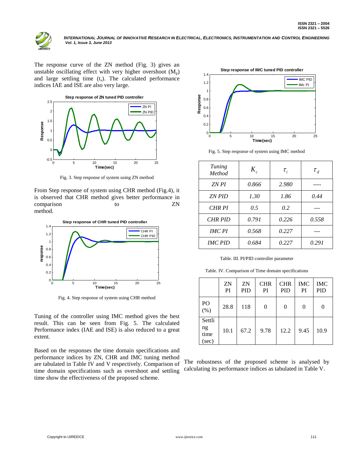

The response curve of the ZN method (Fig. 3) gives an unstable oscillating effect with very higher overshoot  $(M_p)$ and large settling time  $(t_s)$ . The calculated performance indices IAE and ISE are also very large.



Fig. 3. Step response of system using ZN method

From Step response of system using CHR method (Fig.4), it is observed that CHR method gives better performance in comparison to ZN method.



Fig. 4. Step response of system using CHR method

Tuning of the controller using IMC method gives the best result. This can be seen from Fig. 5. The calculated Performance index (IAE and ISE) is also reduced to a great extent.

Based on the responses the time domain specifications and performance indices by ZN, CHR and IMC tuning method are tabulated in Table IV and V respectively. Comparison of time domain specifications such as overshoot and settling time show the effectiveness of the proposed scheme.



Fig. 5. Step response of system using IMC method

| Tuning<br><b>Method</b> | $K_{c}$ | $\tau_i$ | $\tau_{d}$ |
|-------------------------|---------|----------|------------|
| <b>ZNPI</b>             | 0.866   | 2.980    |            |
| <b>ZN PID</b>           | 1.30    | 1.86     | 0.44       |
| <b>CHR PI</b>           | 0.5     | 0.2      |            |
| <b>CHR PID</b>          | 0.791   | 0.226    | 0.558      |
| <b>IMC PI</b>           | 0.568   | 0.227    |            |
| <b>IMC PID</b>          | 0.684   | 0.227    | 0.291      |

Table. III. PI/PID controller parameter

Table. IV. Comparison of Time domain specifications

|                               | ZN<br>PI | ZN<br><b>PID</b> | <b>CHR</b><br>PI | <b>CHR</b><br>PID | <b>IMC</b><br>PI | <b>IMC</b><br><b>PID</b> |
|-------------------------------|----------|------------------|------------------|-------------------|------------------|--------------------------|
| PO<br>(%)                     | 28.8     | 118              | 0                | 0                 | $\theta$         | $\theta$                 |
| Settli<br>ng<br>time<br>(sec) | 10.1     | 67.2             | 9.78             | 12.2              | 9.45             | 10.9                     |

The robustness of the proposed scheme is analysed by calculating its performance indices as tabulated in Table V.